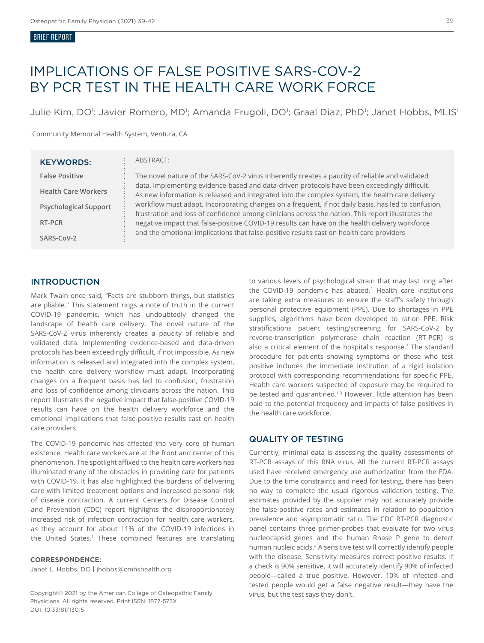#### BRIEF REPORT

## IMPLICATIONS OF FALSE POSITIVE SARS-COV-2 BY PCR TEST IN THE HEALTH CARE WORK FORCE

Julie Kim, DO<sup>1</sup>; Javier Romero, MD<sup>1</sup>; Amanda Frugoli, DO<sup>1</sup>; Graal Diaz, PhD<sup>1</sup>; Janet Hobbs, MLIS<sup>1</sup>

<sup>1</sup>Community Memorial Health System, Ventura, CA

| <b>KEYWORDS:</b>             | ABSTRACT:                                                                                                                                                                                                                                                                                                                                                                                                                                                                                                                                                                                                                                                                                                     |
|------------------------------|---------------------------------------------------------------------------------------------------------------------------------------------------------------------------------------------------------------------------------------------------------------------------------------------------------------------------------------------------------------------------------------------------------------------------------------------------------------------------------------------------------------------------------------------------------------------------------------------------------------------------------------------------------------------------------------------------------------|
| <b>False Positive</b>        | The novel nature of the SARS-CoV-2 virus inherently creates a paucity of reliable and validated<br>data. Implementing evidence-based and data-driven protocols have been exceedingly difficult.<br>As new information is released and integrated into the complex system, the health care delivery<br>workflow must adapt. Incorporating changes on a frequent, if not daily basis, has led to confusion,<br>frustration and loss of confidence among clinicians across the nation. This report illustrates the<br>negative impact that false-positive COVID-19 results can have on the health delivery workforce<br>and the emotional implications that false-positive results cast on health care providers |
| <b>Health Care Workers</b>   |                                                                                                                                                                                                                                                                                                                                                                                                                                                                                                                                                                                                                                                                                                               |
| <b>Psychological Support</b> |                                                                                                                                                                                                                                                                                                                                                                                                                                                                                                                                                                                                                                                                                                               |
| RT-PCR                       |                                                                                                                                                                                                                                                                                                                                                                                                                                                                                                                                                                                                                                                                                                               |
| SARS-CoV-2                   |                                                                                                                                                                                                                                                                                                                                                                                                                                                                                                                                                                                                                                                                                                               |

#### INTRODUCTION

Mark Twain once said, "Facts are stubborn things, but statistics are pliable." This statement rings a note of truth in the current COVID-19 pandemic, which has undoubtedly changed the landscape of health care delivery. The novel nature of the SARS-CoV-2 virus inherently creates a paucity of reliable and validated data. Implementing evidence-based and data-driven protocols has been exceedingly difficult, if not impossible. As new information is released and integrated into the complex system, the health care delivery workflow must adapt. Incorporating changes on a frequent basis has led to confusion, frustration and loss of confidence among clinicians across the nation. This report illustrates the negative impact that false-positive COVID-19 results can have on the health delivery workforce and the emotional implications that false-positive results cast on health care providers.

The COVID-19 pandemic has affected the very core of human existence. Health care workers are at the front and center of this phenomenon. The spotlight affixed to the health care workers has illuminated many of the obstacles in providing care for patients with COVID-19. It has also highlighted the burdens of delivering care with limited treatment options and increased personal risk of disease contraction. A current Centers for Disease Control and Prevention (CDC) report highlights the disproportionately increased risk of infection contraction for health care workers, as they account for about 11% of the COVID-19 infections in the United States.<sup>1</sup> These combined features are translating

#### **CORRESPONDENCE:**

Janet L. Hobbs, DO | jhobbs@cmhshealth.org

Copyright© 2021 by the American College of Osteopathic Family Physicians. All rights reserved. Print ISSN: 1877-573X DOI: 10.33181/13015

to various levels of psychological strain that may last long after the COVID-19 pandemic has abated.<sup>2</sup> Health care institutions are taking extra measures to ensure the staff's safety through personal protective equipment (PPE). Due to shortages in PPE supplies, algorithms have been developed to ration PPE. Risk stratifications patient testing/screening for SARS-CoV-2 by reverse-transcription polymerase chain reaction (RT-PCR) is also a critical element of the hospital's response.3 The standard procedure for patients showing symptoms or those who test positive includes the immediate institution of a rigid isolation protocol with corresponding recommendations for specific PPE. Health care workers suspected of exposure may be required to be tested and quarantined.<sup>1,3</sup> However, little attention has been paid to the potential frequency and impacts of false positives in the health care workforce.

#### QUALITY OF TESTING

Currently, minimal data is assessing the quality assessments of RT-PCR assays of this RNA virus. All the current RT-PCR assays used have received emergency use authorization from the FDA. Due to the time constraints and need for testing, there has been no way to complete the usual rigorous validation testing. The estimates provided by the supplier may not accurately provide the false-positive rates and estimates in relation to population prevalence and asymptomatic ratio. The CDC RT-PCR diagnostic panel contains three primer-probes that evaluate for two virus nucleocapsid genes and the human Rnase P gene to detect human nucleic acids.4 A sensitive test will correctly identify people with the disease. Sensitivity measures correct positive results. If a check is 90% sensitive, it will accurately identify 90% of infected people—called a true positive. However, 10% of infected and tested people would get a false negative result—they have the virus, but the test says they don't.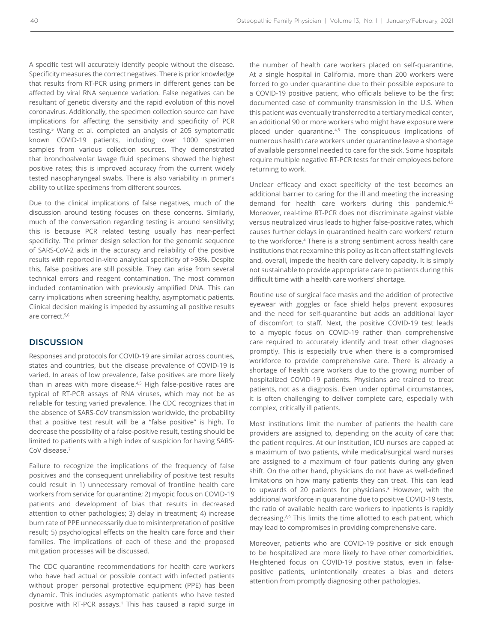A specific test will accurately identify people without the disease. Specificity measures the correct negatives. There is prior knowledge that results from RT-PCR using primers in different genes can be affected by viral RNA sequence variation. False negatives can be resultant of genetic diversity and the rapid evolution of this novel coronavirus. Additionally, the specimen collection source can have implications for affecting the sensitivity and specificity of PCR testing.5 Wang et al. completed an analysis of 205 symptomatic known COVID-19 patients, including over 1000 specimen samples from various collection sources. They demonstrated that bronchoalveolar lavage fluid specimens showed the highest positive rates; this is improved accuracy from the current widely tested nasopharyngeal swabs. There is also variability in primer's ability to utilize specimens from different sources.

Due to the clinical implications of false negatives, much of the discussion around testing focuses on these concerns. Similarly, much of the conversation regarding testing is around sensitivity; this is because PCR related testing usually has near-perfect specificity. The primer design selection for the genomic sequence of SARS-CoV-2 aids in the accuracy and reliability of the positive results with reported in-vitro analytical specificity of >98%. Despite this, false positives are still possible. They can arise from several technical errors and reagent contamination. The most common included contamination with previously amplified DNA. This can carry implications when screening healthy, asymptomatic patients. Clinical decision making is impeded by assuming all positive results are correct.5,6

#### **DISCUSSION**

Responses and protocols for COVID-19 are similar across counties, states and countries, but the disease prevalence of COVID-19 is varied. In areas of low prevalence, false positives are more likely than in areas with more disease.<sup>4,5</sup> High false-positive rates are typical of RT-PCR assays of RNA viruses, which may not be as reliable for testing varied prevalence. The CDC recognizes that in the absence of SARS-CoV transmission worldwide, the probability that a positive test result will be a "false positive" is high. To decrease the possibility of a false-positive result, testing should be limited to patients with a high index of suspicion for having SARS-CoV disease.7

Failure to recognize the implications of the frequency of false positives and the consequent unreliability of positive test results could result in 1) unnecessary removal of frontline health care workers from service for quarantine; 2) myopic focus on COVID-19 patients and development of bias that results in decreased attention to other pathologies; 3) delay in treatment; 4) increase burn rate of PPE unnecessarily due to misinterpretation of positive result; 5) psychological effects on the health care force and their families. The implications of each of these and the proposed mitigation processes will be discussed.

The CDC quarantine recommendations for health care workers who have had actual or possible contact with infected patients without proper personal protective equipment (PPE) has been dynamic. This includes asymptomatic patients who have tested positive with RT-PCR assays.<sup>1</sup> This has caused a rapid surge in

the number of health care workers placed on self-quarantine. At a single hospital in California, more than 200 workers were forced to go under quarantine due to their possible exposure to a COVID-19 positive patient, who officials believe to be the first documented case of community transmission in the U.S. When this patient was eventually transferred to a tertiary medical center, an additional 90 or more workers who might have exposure were placed under quarantine.<sup>4,5</sup> The conspicuous implications of numerous health care workers under quarantine leave a shortage of available personnel needed to care for the sick. Some hospitals require multiple negative RT-PCR tests for their employees before returning to work.

Unclear efficacy and exact specificity of the test becomes an additional barrier to caring for the ill and meeting the increasing demand for health care workers during this pandemic.<sup>4,5</sup> Moreover, real-time RT-PCR does not discriminate against viable versus neutralized virus leads to higher false-positive rates, which causes further delays in quarantined health care workers' return to the workforce.4 There is a strong sentiment across health care institutions that reexamine this policy as it can affect staffing levels and, overall, impede the health care delivery capacity. It is simply not sustainable to provide appropriate care to patients during this difficult time with a health care workers' shortage.

Routine use of surgical face masks and the addition of protective eyewear with goggles or face shield helps prevent exposures and the need for self-quarantine but adds an additional layer of discomfort to staff. Next, the positive COVID-19 test leads to a myopic focus on COVID-19 rather than comprehensive care required to accurately identify and treat other diagnoses promptly. This is especially true when there is a compromised workforce to provide comprehensive care. There is already a shortage of health care workers due to the growing number of hospitalized COVID-19 patients. Physicians are trained to treat patients, not as a diagnosis. Even under optimal circumstances, it is often challenging to deliver complete care, especially with complex, critically ill patients.

Most institutions limit the number of patients the health care providers are assigned to, depending on the acuity of care that the patient requires. At our institution, ICU nurses are capped at a maximum of two patients, while medical/surgical ward nurses are assigned to a maximum of four patients during any given shift. On the other hand, physicians do not have as well-defined limitations on how many patients they can treat. This can lead to upwards of 20 patients for physicians.<sup>8</sup> However, with the additional workforce in quarantine due to positive COVID-19 tests, the ratio of available health care workers to inpatients is rapidly decreasing.8,9 This limits the time allotted to each patient, which may lead to compromises in providing comprehensive care.

Moreover, patients who are COVID-19 positive or sick enough to be hospitalized are more likely to have other comorbidities. Heightened focus on COVID-19 positive status, even in falsepositive patients, unintentionally creates a bias and deters attention from promptly diagnosing other pathologies.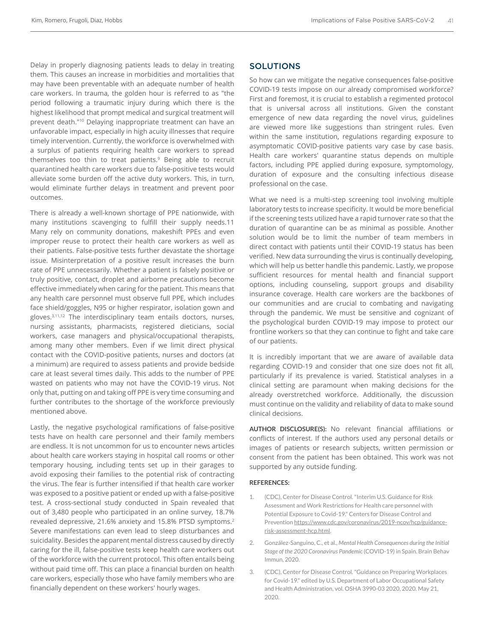Delay in properly diagnosing patients leads to delay in treating them. This causes an increase in morbidities and mortalities that may have been preventable with an adequate number of health care workers. In trauma, the golden hour is referred to as "the period following a traumatic injury during which there is the highest likelihood that prompt medical and surgical treatment will prevent death."10 Delaying inappropriate treatment can have an unfavorable impact, especially in high acuity illnesses that require timely intervention. Currently, the workforce is overwhelmed with a surplus of patients requiring health care workers to spread themselves too thin to treat patients.<sup>9</sup> Being able to recruit quarantined health care workers due to false-positive tests would alleviate some burden off the active duty workers. This, in turn, would eliminate further delays in treatment and prevent poor outcomes.

There is already a well-known shortage of PPE nationwide, with many institutions scavenging to fulfill their supply needs.11 Many rely on community donations, makeshift PPEs and even improper reuse to protect their health care workers as well as their patients. False-positive tests further devastate the shortage issue. Misinterpretation of a positive result increases the burn rate of PPE unnecessarily. Whether a patient is falsely positive or truly positive, contact, droplet and airborne precautions become effective immediately when caring for the patient. This means that any health care personnel must observe full PPE, which includes face shield/goggles, N95 or higher respirator, isolation gown and gloves.3,11,12 The interdisciplinary team entails doctors, nurses, nursing assistants, pharmacists, registered dieticians, social workers, case managers and physical/occupational therapists, among many other members. Even if we limit direct physical contact with the COVID-positive patients, nurses and doctors (at a minimum) are required to assess patients and provide bedside care at least several times daily. This adds to the number of PPE wasted on patients who may not have the COVID-19 virus. Not only that, putting on and taking off PPE is very time consuming and further contributes to the shortage of the workforce previously mentioned above.

Lastly, the negative psychological ramifications of false-positive tests have on health care personnel and their family members are endless. It is not uncommon for us to encounter news articles about health care workers staying in hospital call rooms or other temporary housing, including tents set up in their garages to avoid exposing their families to the potential risk of contracting the virus. The fear is further intensified if that health care worker was exposed to a positive patient or ended up with a false-positive test. A cross-sectional study conducted in Spain revealed that out of 3,480 people who participated in an online survey, 18.7% revealed depressive, 21.6% anxiety and 15.8% PTSD symptoms.<sup>2</sup> Severe manifestations can even lead to sleep disturbances and suicidality. Besides the apparent mental distress caused by directly caring for the ill, false-positive tests keep health care workers out of the workforce with the current protocol. This often entails being without paid time off. This can place a financial burden on health care workers, especially those who have family members who are financially dependent on these workers' hourly wages.

#### **SOLUTIONS**

So how can we mitigate the negative consequences false-positive COVID-19 tests impose on our already compromised workforce? First and foremost, it is crucial to establish a regimented protocol that is universal across all institutions. Given the constant emergence of new data regarding the novel virus, guidelines are viewed more like suggestions than stringent rules. Even within the same institution, regulations regarding exposure to asymptomatic COVID-positive patients vary case by case basis. Health care workers' quarantine status depends on multiple factors, including PPE applied during exposure, symptomology, duration of exposure and the consulting infectious disease professional on the case.

What we need is a multi-step screening tool involving multiple laboratory tests to increase specificity. It would be more beneficial if the screening tests utilized have a rapid turnover rate so that the duration of quarantine can be as minimal as possible. Another solution would be to limit the number of team members in direct contact with patients until their COVID-19 status has been verified. New data surrounding the virus is continually developing, which will help us better handle this pandemic. Lastly, we propose sufficient resources for mental health and financial support options, including counseling, support groups and disability insurance coverage. Health care workers are the backbones of our communities and are crucial to combating and navigating through the pandemic. We must be sensitive and cognizant of the psychological burden COVID-19 may impose to protect our frontline workers so that they can continue to fight and take care of our patients.

It is incredibly important that we are aware of available data regarding COVID-19 and consider that one size does not fit all, particularly if its prevalence is varied. Statistical analyses in a clinical setting are paramount when making decisions for the already overstretched workforce. Additionally, the discussion must continue on the validity and reliability of data to make sound clinical decisions.

**AUTHOR DISCLOSURE(S):** No relevant financial affiliations or conflicts of interest. If the authors used any personal details or images of patients or research subjects, written permission or consent from the patient has been obtained. This work was not supported by any outside funding.

#### **REFERENCES:**

- 1. (CDC), Center for Disease Control. "Interim U.S. Guidance for Risk Assessment and Work Restrictions for Health care personnel with Potential Exposure to Covid-19." Centers for Disease Control and Prevention https://www.cdc.gov/coronavirus/2019-ncov/hcp/guidancerisk-assessment-hcp.html.
- 2. González-Sanguino, C., et al., *Mental Health Consequences during the Initial Stage of the 2020 Coronavirus Pandemic* (COVID-19) in Spain. Brain Behav Immun, 2020.
- 3. (CDC), Center for Disease Control. "Guidance on Preparing Workplaces for Covid-19." edited by U.S. Department of Labor Occupational Safety and Health Administration, vol. OSHA 3990-03 2020, 2020. May 21, 2020.